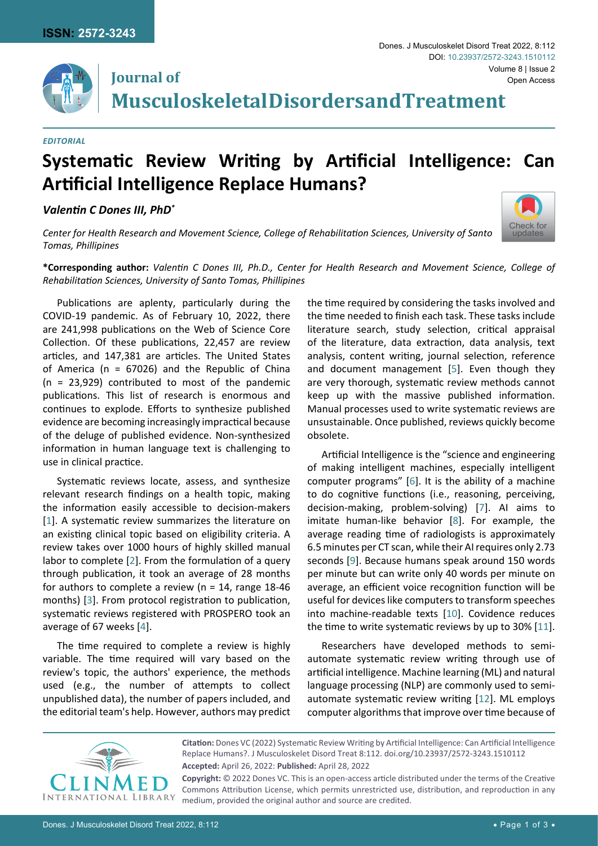**Journal of**



[Check for](http://crossmark.crossref.org/dialog/?doi=10.23937/2572-3243.1510112&domain=pdf) updates

**Musculoskeletal Disorders and Treatment**

## *Editorial*

## **Systematic Review Writing by Artificial Intelligence: Can Artificial Intelligence Replace Humans?**

## *Valentin C Dones III, PhD\**



**\*Corresponding author:** *Valentin C Dones III, Ph.D., Center for Health Research and Movement Science, College of Rehabilitation Sciences, University of Santo Tomas, Phillipines*

Publications are aplenty, particularly during the COVID-19 pandemic. As of February 10, 2022, there are 241,998 publications on the Web of Science Core Collection. Of these publications, 22,457 are review articles, and 147,381 are articles. The United States of America ( $n = 67026$ ) and the Republic of China (n = 23,929) contributed to most of the pandemic publications. This list of research is enormous and continues to explode. Efforts to synthesize published evidence are becoming increasingly impractical because of the deluge of published evidence. Non-synthesized information in human language text is challenging to use in clinical practice.

Systematic reviews locate, assess, and synthesize relevant research findings on a health topic, making the information easily accessible to decision-makers [[1](#page-2-8)]. A systematic review summarizes the literature on an existing clinical topic based on eligibility criteria. A review takes over 1000 hours of highly skilled manual labor to complete [[2](#page-2-9)]. From the formulation of a query through publication, it took an average of 28 months for authors to complete a review (n = 14, range 18-46 months) [\[3](#page-2-10)]. From protocol registration to publication, systematic reviews registered with PROSPERO took an average of 67 weeks [[4](#page-2-11)].

The time required to complete a review is highly variable. The time required will vary based on the review's topic, the authors' experience, the methods used (e.g., the number of attempts to collect unpublished data), the number of papers included, and the editorial team's help. However, authors may predict

the time required by considering the tasks involved and the time needed to finish each task. These tasks include literature search, study selection, critical appraisal of the literature, data extraction, data analysis, text analysis, content writing, journal selection, reference and document management [[5](#page-2-0)]. Even though they are very thorough, systematic review methods cannot keep up with the massive published information. Manual processes used to write systematic reviews are unsustainable. Once published, reviews quickly become obsolete.

Artificial Intelligence is the "science and engineering of making intelligent machines, especially intelligent computer programs" [[6](#page-2-1)]. It is the ability of a machine to do cognitive functions (i.e., reasoning, perceiving, decision-making, problem-solving) [\[7\]](#page-2-2). AI aims to imitate human-like behavior [[8](#page-2-3)]. For example, the average reading time of radiologists is approximately 6.5 minutes per CT scan, while their AI requires only 2.73 seconds [[9](#page-2-4)]. Because humans speak around 150 words per minute but can write only 40 words per minute on average, an efficient voice recognition function will be useful for devices like computers to transform speeches into machine-readable texts [\[10\]](#page-2-5). Covidence reduces the time to write systematic reviews by up to 30% [\[11\]](#page-2-6).

Researchers have developed methods to semiautomate systematic review writing through use of artificial intelligence. Machine learning (ML) and natural language processing (NLP) are commonly used to semiautomate systematic review writing [[12\]](#page-2-7). ML employs computer algorithms that improve over time because of



**Citation:** Dones VC (2022) Systematic Review Writing by Artificial Intelligence: Can Artificial Intelligence Replace Humans?. J Musculoskelet Disord Treat 8:112. [doi.org/10.23937/2572-3243.1510112](https://doi.org/10.23937/2572-3243.1510112) **Accepted:** April 26, 2022: **Published:** April 28, 2022 **Copyright:** © 2022 Dones VC. This is an open-access article distributed under the terms of the Creative

Commons Attribution License, which permits unrestricted use, distribution, and reproduction in any medium, provided the original author and source are credited.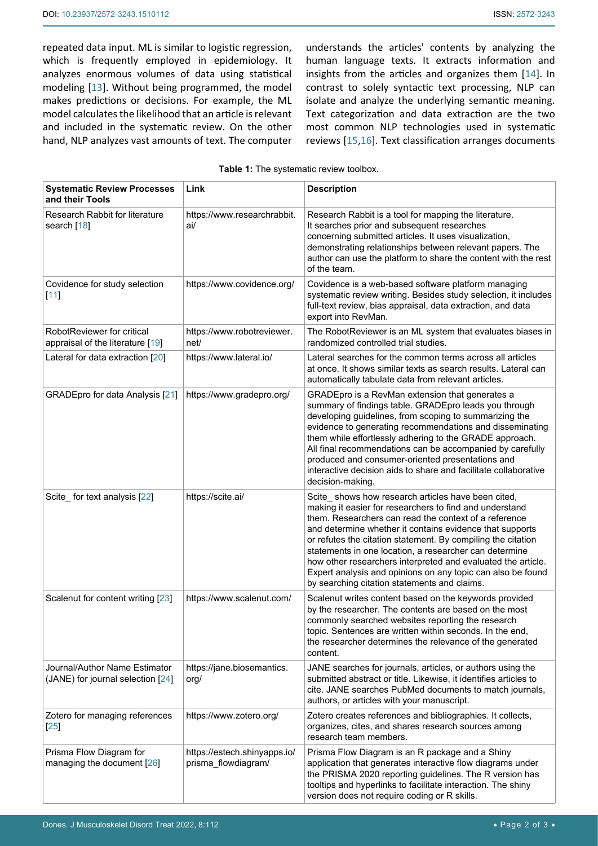repeated data input. ML is similar to logistic regression, which is frequently employed in epidemiology. It analyzes enormous volumes of data using statistical modeling [[13](#page-2-12)]. Without being programmed, the model makes predictions or decisions. For example, the ML model calculates the likelihood that an article is relevant and included in the systematic review. On the other hand, NLP analyzes vast amounts of text. The computer understands the articles' contents by analyzing the human language texts. It extracts information and insights from the articles and organizes them [[14\]](#page-2-13). In contrast to solely syntactic text processing, NLP can isolate and analyze the underlying semantic meaning. Text categorization and data extraction are the two most common NLP technologies used in systematic reviews [\[15](#page-2-14)[,16](#page-2-15)]. Text classification arranges documents

<span id="page-1-0"></span>

| Table 1: The systematic review toolbox. |  |
|-----------------------------------------|--|
|-----------------------------------------|--|

| <b>Systematic Review Processes</b><br>and their Tools              | Link                                                | <b>Description</b>                                                                                                                                                                                                                                                                                                                                                                                                                                                                                                                          |
|--------------------------------------------------------------------|-----------------------------------------------------|---------------------------------------------------------------------------------------------------------------------------------------------------------------------------------------------------------------------------------------------------------------------------------------------------------------------------------------------------------------------------------------------------------------------------------------------------------------------------------------------------------------------------------------------|
| Research Rabbit for literature<br>search [18]                      | https://www.researchrabbit.<br>ai/                  | Research Rabbit is a tool for mapping the literature.<br>It searches prior and subsequent researches<br>concerning submitted articles. It uses visualization,<br>demonstrating relationships between relevant papers. The<br>author can use the platform to share the content with the rest<br>of the team.                                                                                                                                                                                                                                 |
| Covidence for study selection<br>[11]                              | https://www.covidence.org/                          | Covidence is a web-based software platform managing<br>systematic review writing. Besides study selection, it includes<br>full-text review, bias appraisal, data extraction, and data<br>export into RevMan.                                                                                                                                                                                                                                                                                                                                |
| RobotReviewer for critical<br>appraisal of the literature [19]     | https://www.robotreviewer.<br>net/                  | The RobotReviewer is an ML system that evaluates biases in<br>randomized controlled trial studies.                                                                                                                                                                                                                                                                                                                                                                                                                                          |
| Lateral for data extraction [20]                                   | https://www.lateral.io/                             | Lateral searches for the common terms across all articles<br>at once. It shows similar texts as search results. Lateral can<br>automatically tabulate data from relevant articles.                                                                                                                                                                                                                                                                                                                                                          |
| GRADEpro for data Analysis [21]                                    | https://www.gradepro.org/                           | GRADEpro is a RevMan extension that generates a<br>summary of findings table. GRADEpro leads you through<br>developing guidelines, from scoping to summarizing the<br>evidence to generating recommendations and disseminating<br>them while effortlessly adhering to the GRADE approach.<br>All final recommendations can be accompanied by carefully<br>produced and consumer-oriented presentations and<br>interactive decision aids to share and facilitate collaborative<br>decision-making.                                           |
| Scite_for text analysis [22]                                       | https://scite.ai/                                   | Scite_shows how research articles have been cited,<br>making it easier for researchers to find and understand<br>them. Researchers can read the context of a reference<br>and determine whether it contains evidence that supports<br>or refutes the citation statement. By compiling the citation<br>statements in one location, a researcher can determine<br>how other researchers interpreted and evaluated the article.<br>Expert analysis and opinions on any topic can also be found<br>by searching citation statements and claims. |
| Scalenut for content writing [23]                                  | https://www.scalenut.com/                           | Scalenut writes content based on the keywords provided<br>by the researcher. The contents are based on the most<br>commonly searched websites reporting the research<br>topic. Sentences are written within seconds. In the end,<br>the researcher determines the relevance of the generated<br>content.                                                                                                                                                                                                                                    |
| Journal/Author Name Estimator<br>(JANE) for journal selection [24] | https://jane.biosemantics.<br>org/                  | JANE searches for journals, articles, or authors using the<br>submitted abstract or title. Likewise, it identifies articles to<br>cite. JANE searches PubMed documents to match journals,<br>authors, or articles with your manuscript.                                                                                                                                                                                                                                                                                                     |
| Zotero for managing references<br>$[25]$                           | https://www.zotero.org/                             | Zotero creates references and bibliographies. It collects,<br>organizes, cites, and shares research sources among<br>research team members.                                                                                                                                                                                                                                                                                                                                                                                                 |
| Prisma Flow Diagram for<br>managing the document [26]              | https://estech.shinyapps.io/<br>prisma_flowdiagram/ | Prisma Flow Diagram is an R package and a Shiny<br>application that generates interactive flow diagrams under<br>the PRISMA 2020 reporting guidelines. The R version has<br>tooltips and hyperlinks to facilitate interaction. The shiny<br>version does not require coding or R skills.                                                                                                                                                                                                                                                    |